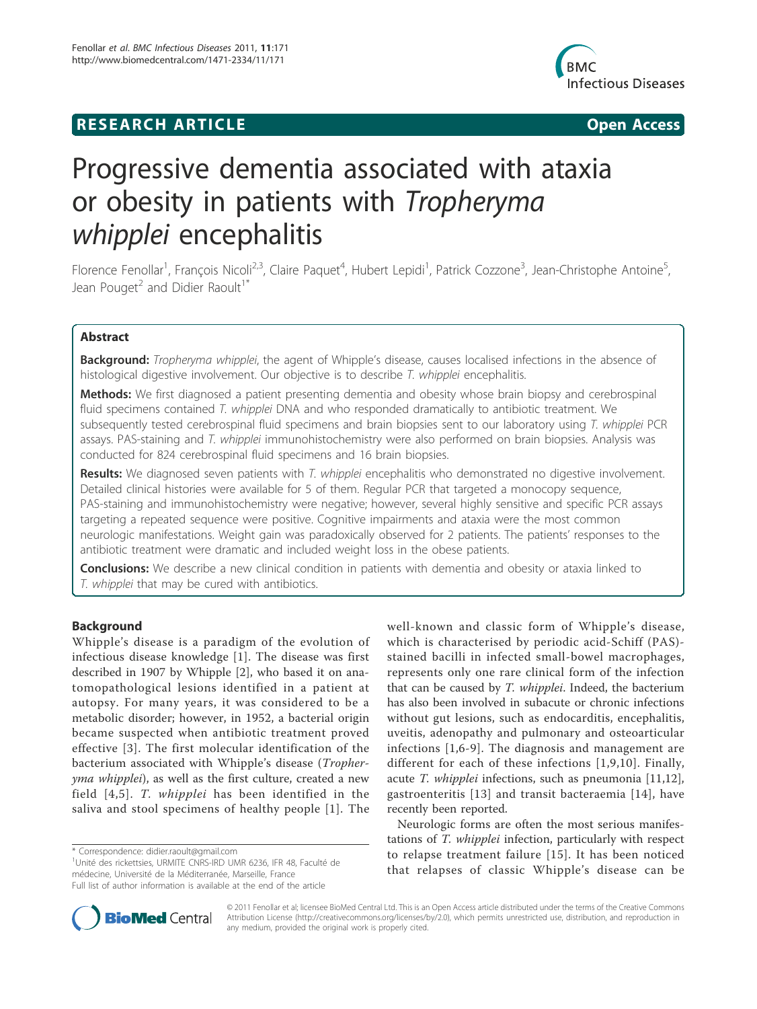# **RESEARCH ARTICLE Example 2014 CONSUMING ACCESS**



# Progressive dementia associated with ataxia or obesity in patients with Tropheryma whipplei encephalitis

Florence Fenollar<sup>1</sup>, François Nicoli<sup>2,3</sup>, Claire Paquet<sup>4</sup>, Hubert Lepidi<sup>1</sup>, Patrick Cozzone<sup>3</sup>, Jean-Christophe Antoine<sup>5</sup> , Jean Pouget<sup>2</sup> and Didier Raoult<sup>1\*</sup>

# Abstract

**Background:** Tropheryma whipplei, the agent of Whipple's disease, causes localised infections in the absence of histological digestive involvement. Our objective is to describe T. whipplei encephalitis.

Methods: We first diagnosed a patient presenting dementia and obesity whose brain biopsy and cerebrospinal fluid specimens contained T. whipplei DNA and who responded dramatically to antibiotic treatment. We subsequently tested cerebrospinal fluid specimens and brain biopsies sent to our laboratory using T. whipplei PCR assays. PAS-staining and T. whipplei immunohistochemistry were also performed on brain biopsies. Analysis was conducted for 824 cerebrospinal fluid specimens and 16 brain biopsies.

Results: We diagnosed seven patients with T. whipplei encephalitis who demonstrated no digestive involvement. Detailed clinical histories were available for 5 of them. Regular PCR that targeted a monocopy sequence, PAS-staining and immunohistochemistry were negative; however, several highly sensitive and specific PCR assays targeting a repeated sequence were positive. Cognitive impairments and ataxia were the most common neurologic manifestations. Weight gain was paradoxically observed for 2 patients. The patients' responses to the antibiotic treatment were dramatic and included weight loss in the obese patients.

**Conclusions:** We describe a new clinical condition in patients with dementia and obesity or ataxia linked to T. whipplei that may be cured with antibiotics.

# Background

Whipple's disease is a paradigm of the evolution of infectious disease knowledge [1]. The disease was first described in 1907 by Whipple [2], who based it on anatomopathological lesions identified in a patient at autopsy. For many years, it was considered to be a metabolic disorder; however, in 1952, a bacterial origin became suspected when antibiotic treatment proved effective [3]. The first molecular identification of the bacterium associated with Whipple's disease (Tropheryma whipplei), as well as the first culture, created a new field [4,5]. T. whipplei has been identified in the saliva and stool specimens of healthy people [1]. The

<sup>1</sup>Unité des rickettsies, URMITE CNRS-IRD UMR 6236, IFR 48, Faculté de médecine, Université de la Méditerranée, Marseille, France Full list of author information is available at the end of the article

well-known and classic form of Whipple's disease, which is characterised by periodic acid-Schiff (PAS) stained bacilli in infected small-bowel macrophages, represents only one rare clinical form of the infection that can be caused by T. whipplei. Indeed, the bacterium has also been involved in subacute or chronic infections without gut lesions, such as endocarditis, encephalitis, uveitis, adenopathy and pulmonary and osteoarticular infections [1,6-9]. The diagnosis and management are different for each of these infections [1,9,10]. Finally, acute T. whipplei infections, such as pneumonia [11,12], gastroenteritis [13] and transit bacteraemia [14], have recently been reported.

Neurologic forms are often the most serious manifestations of T. whipplei infection, particularly with respect to relapse treatment failure [15]. It has been noticed that relapses of classic Whipple's disease can be



© 2011 Fenollar et al; licensee BioMed Central Ltd. This is an Open Access article distributed under the terms of the Creative Commons Attribution License (http://creativecommons.org/licenses/by/2.0), which permits unrestricted use, distribution, and reproduction in any medium, provided the original work is properly cited.

<sup>\*</sup> Correspondence: didier.raoult@gmail.com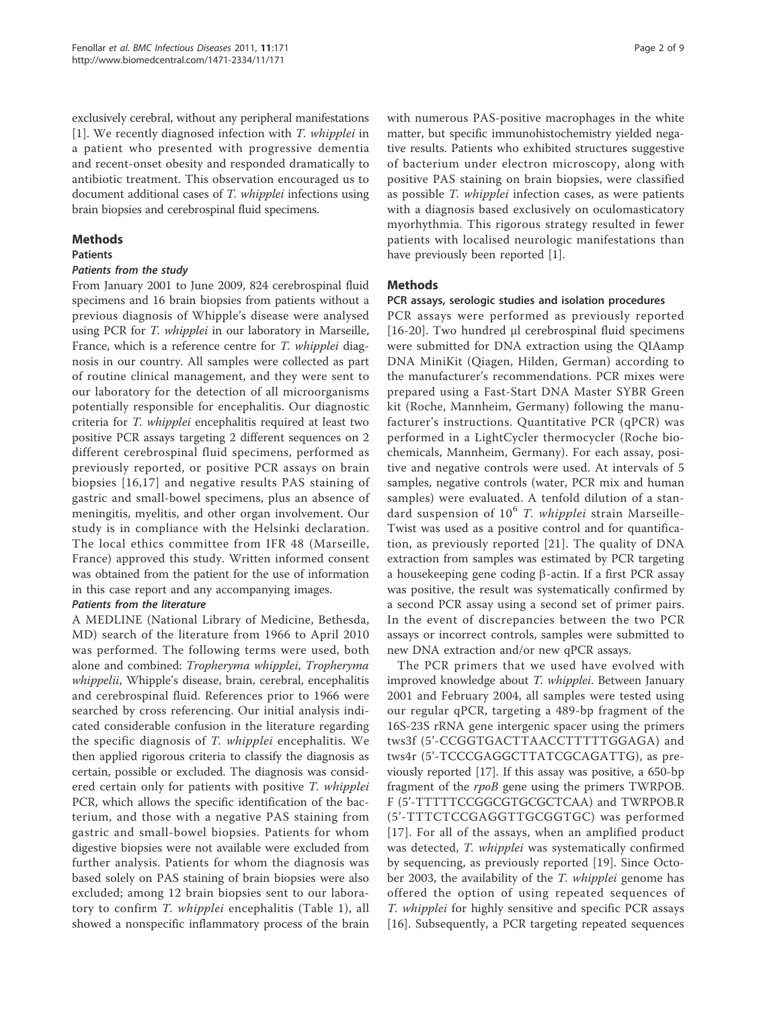exclusively cerebral, without any peripheral manifestations [1]. We recently diagnosed infection with T. whipplei in a patient who presented with progressive dementia and recent-onset obesity and responded dramatically to antibiotic treatment. This observation encouraged us to document additional cases of T. whipplei infections using brain biopsies and cerebrospinal fluid specimens.

## Methods

#### Patients

## Patients from the study

From January 2001 to June 2009, 824 cerebrospinal fluid specimens and 16 brain biopsies from patients without a previous diagnosis of Whipple's disease were analysed using PCR for T. whipplei in our laboratory in Marseille, France, which is a reference centre for T. whipplei diagnosis in our country. All samples were collected as part of routine clinical management, and they were sent to our laboratory for the detection of all microorganisms potentially responsible for encephalitis. Our diagnostic criteria for T. whipplei encephalitis required at least two positive PCR assays targeting 2 different sequences on 2 different cerebrospinal fluid specimens, performed as previously reported, or positive PCR assays on brain biopsies [16,17] and negative results PAS staining of gastric and small-bowel specimens, plus an absence of meningitis, myelitis, and other organ involvement. Our study is in compliance with the Helsinki declaration. The local ethics committee from IFR 48 (Marseille, France) approved this study. Written informed consent was obtained from the patient for the use of information in this case report and any accompanying images.

# Patients from the literature

A MEDLINE (National Library of Medicine, Bethesda, MD) search of the literature from 1966 to April 2010 was performed. The following terms were used, both alone and combined: Tropheryma whipplei, Tropheryma whippelii, Whipple's disease, brain, cerebral, encephalitis and cerebrospinal fluid. References prior to 1966 were searched by cross referencing. Our initial analysis indicated considerable confusion in the literature regarding the specific diagnosis of T. whipplei encephalitis. We then applied rigorous criteria to classify the diagnosis as certain, possible or excluded. The diagnosis was considered certain only for patients with positive T. whipplei PCR, which allows the specific identification of the bacterium, and those with a negative PAS staining from gastric and small-bowel biopsies. Patients for whom digestive biopsies were not available were excluded from further analysis. Patients for whom the diagnosis was based solely on PAS staining of brain biopsies were also excluded; among 12 brain biopsies sent to our laboratory to confirm T. whipplei encephalitis (Table 1), all showed a nonspecific inflammatory process of the brain with numerous PAS-positive macrophages in the white matter, but specific immunohistochemistry yielded negative results. Patients who exhibited structures suggestive of bacterium under electron microscopy, along with positive PAS staining on brain biopsies, were classified as possible T. whipplei infection cases, as were patients with a diagnosis based exclusively on oculomasticatory myorhythmia. This rigorous strategy resulted in fewer patients with localised neurologic manifestations than have previously been reported [1].

# Methods

## PCR assays, serologic studies and isolation procedures

PCR assays were performed as previously reported [16-20]. Two hundred μl cerebrospinal fluid specimens were submitted for DNA extraction using the QIAamp DNA MiniKit (Qiagen, Hilden, German) according to the manufacturer's recommendations. PCR mixes were prepared using a Fast-Start DNA Master SYBR Green kit (Roche, Mannheim, Germany) following the manufacturer's instructions. Quantitative PCR (qPCR) was performed in a LightCycler thermocycler (Roche biochemicals, Mannheim, Germany). For each assay, positive and negative controls were used. At intervals of 5 samples, negative controls (water, PCR mix and human samples) were evaluated. A tenfold dilution of a standard suspension of  $10^6$  T. whipplei strain Marseille-Twist was used as a positive control and for quantification, as previously reported [21]. The quality of DNA extraction from samples was estimated by PCR targeting a housekeeping gene coding  $\beta$ -actin. If a first PCR assay was positive, the result was systematically confirmed by a second PCR assay using a second set of primer pairs. In the event of discrepancies between the two PCR assays or incorrect controls, samples were submitted to new DNA extraction and/or new qPCR assays.

The PCR primers that we used have evolved with improved knowledge about T. whipplei. Between January 2001 and February 2004, all samples were tested using our regular qPCR, targeting a 489-bp fragment of the 16S-23S rRNA gene intergenic spacer using the primers tws3f (5'-CCGGTGACTTAACCTTTTTGGAGA) and tws4r (5'-TCCCGAGGCTTATCGCAGATTG), as previously reported [17]. If this assay was positive, a 650-bp fragment of the rpoB gene using the primers TWRPOB. F (5'-TTTTTCCGGCGTGCGCTCAA) and TWRPOB.R (5'-TTTCTCCGAGGTTGCGGTGC) was performed [17]. For all of the assays, when an amplified product was detected, T. whipplei was systematically confirmed by sequencing, as previously reported [19]. Since October 2003, the availability of the T. whipplei genome has offered the option of using repeated sequences of T. whipplei for highly sensitive and specific PCR assays [16]. Subsequently, a PCR targeting repeated sequences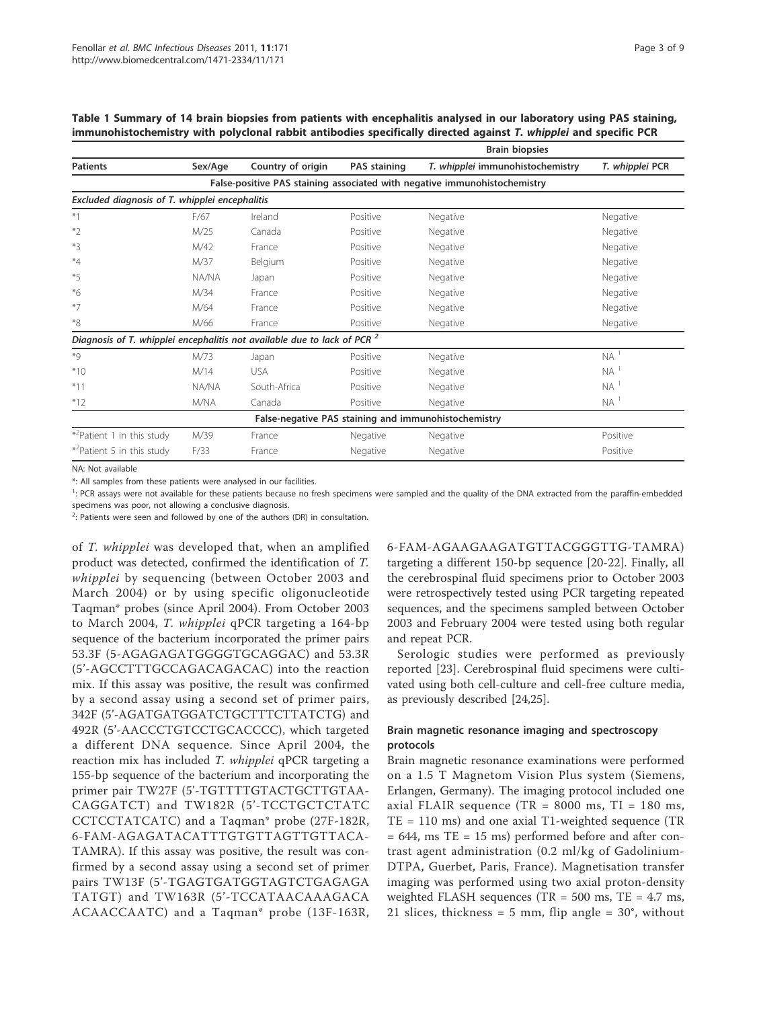Table 1 Summary of 14 brain biopsies from patients with encephalitis analysed in our laboratory using PAS staining, immunohistochemistry with polyclonal rabbit antibodies specifically directed against T. whipplei and specific PCR

|                                                                                     |         |                   | <b>Brain biopsies</b> |                                  |                   |  |  |  |  |  |
|-------------------------------------------------------------------------------------|---------|-------------------|-----------------------|----------------------------------|-------------------|--|--|--|--|--|
| <b>Patients</b>                                                                     | Sex/Age | Country of origin | <b>PAS staining</b>   | T. whipplei immunohistochemistry | T. whipplei PCR   |  |  |  |  |  |
| False-positive PAS staining associated with negative immunohistochemistry           |         |                   |                       |                                  |                   |  |  |  |  |  |
| Excluded diagnosis of T. whipplei encephalitis                                      |         |                   |                       |                                  |                   |  |  |  |  |  |
| $*1$                                                                                | F/67    | Ireland           | Positive              | Negative                         | Negative          |  |  |  |  |  |
| $*_{2}$                                                                             | M/25    | Canada            | Positive              | Negative                         | Negative          |  |  |  |  |  |
| $*3$                                                                                | M/42    | France            | Positive              | Negative                         | Negative          |  |  |  |  |  |
| $*_{4}$                                                                             | M/37    | Belgium           | Positive              | Negative                         | Negative          |  |  |  |  |  |
| $*5$                                                                                | NA/NA   | Japan             | Positive              | Negative                         | Negative          |  |  |  |  |  |
| $*_{6}$                                                                             | M/34    | France            | Positive              | Negative                         | Negative          |  |  |  |  |  |
| $*7$                                                                                | M/64    | France            | Positive              | Negative                         | Negative          |  |  |  |  |  |
| $*_{8}$                                                                             | M/66    | France            | Positive              | Negative                         | Negative          |  |  |  |  |  |
| Diagnosis of T. whipplei encephalitis not available due to lack of PCR <sup>2</sup> |         |                   |                       |                                  |                   |  |  |  |  |  |
| $*9$                                                                                | M/73    | Japan             | Positive              | Negative                         | NA <sup>1</sup>   |  |  |  |  |  |
| $*10$                                                                               | M/14    | <b>USA</b>        | Positive              | Negative                         | $NA$ <sup>1</sup> |  |  |  |  |  |
| $*11$                                                                               | NA/NA   | South-Africa      | Positive              | Negative                         | $NA$ <sup>1</sup> |  |  |  |  |  |
| $*12$                                                                               | M/NA    | Canada            | Positive              | Negative                         | $NA$ <sup>1</sup> |  |  |  |  |  |
| False-negative PAS staining and immunohistochemistry                                |         |                   |                       |                                  |                   |  |  |  |  |  |
| * <sup>2</sup> Patient 1 in this study                                              | M/39    | France            | Negative              | Negative                         | Positive          |  |  |  |  |  |
| * <sup>2</sup> Patient 5 in this study                                              | F/33    | France            | Negative              | Negative                         | Positive          |  |  |  |  |  |

NA: Not available

\*: All samples from these patients were analysed in our facilities.

<sup>1</sup>: PCR assays were not available for these patients because no fresh specimens were sampled and the quality of the DNA extracted from the paraffin-embedded

specimens was poor, not allowing a conclusive diagnosis.

 $2$ : Patients were seen and followed by one of the authors (DR) in consultation.

of T. whipplei was developed that, when an amplified product was detected, confirmed the identification of T. whipplei by sequencing (between October 2003 and March 2004) or by using specific oligonucleotide Taqman\* probes (since April 2004). From October 2003 to March 2004, T. whipplei qPCR targeting a 164-bp sequence of the bacterium incorporated the primer pairs 53.3F (5-AGAGAGATGGGGTGCAGGAC) and 53.3R (5'-AGCCTTTGCCAGACAGACAC) into the reaction mix. If this assay was positive, the result was confirmed by a second assay using a second set of primer pairs, 342F (5'-AGATGATGGATCTGCTTTCTTATCTG) and 492R (5'-AACCCTGTCCTGCACCCC), which targeted a different DNA sequence. Since April 2004, the reaction mix has included T. whipplei qPCR targeting a 155-bp sequence of the bacterium and incorporating the primer pair TW27F (5'-TGTTTTGTACTGCTTGTAA-CAGGATCT) and TW182R (5'-TCCTGCTCTATC CCTCCTATCATC) and a Taqman\* probe (27F-182R, 6-FAM-AGAGATACATTTGTGTTAGTTGTTACA-TAMRA). If this assay was positive, the result was confirmed by a second assay using a second set of primer pairs TW13F (5'-TGAGTGATGGTAGTCTGAGAGA TATGT) and TW163R (5'-TCCATAACAAAGACA ACAACCAATC) and a Taqman\* probe (13F-163R, 6-FAM-AGAAGAAGATGTTACGGGTTG-TAMRA) targeting a different 150-bp sequence [20-22]. Finally, all the cerebrospinal fluid specimens prior to October 2003 were retrospectively tested using PCR targeting repeated sequences, and the specimens sampled between October 2003 and February 2004 were tested using both regular and repeat PCR.

Serologic studies were performed as previously reported [23]. Cerebrospinal fluid specimens were cultivated using both cell-culture and cell-free culture media, as previously described [24,25].

# Brain magnetic resonance imaging and spectroscopy protocols

Brain magnetic resonance examinations were performed on a 1.5 T Magnetom Vision Plus system (Siemens, Erlangen, Germany). The imaging protocol included one axial FLAIR sequence (TR =  $8000$  ms, TI = 180 ms, TE = 110 ms) and one axial T1-weighted sequence (TR  $= 644$ , ms TE  $= 15$  ms) performed before and after contrast agent administration (0.2 ml/kg of Gadolinium-DTPA, Guerbet, Paris, France). Magnetisation transfer imaging was performed using two axial proton-density weighted FLASH sequences (TR =  $500$  ms, TE =  $4.7$  ms, 21 slices, thickness = 5 mm, flip angle =  $30^{\circ}$ , without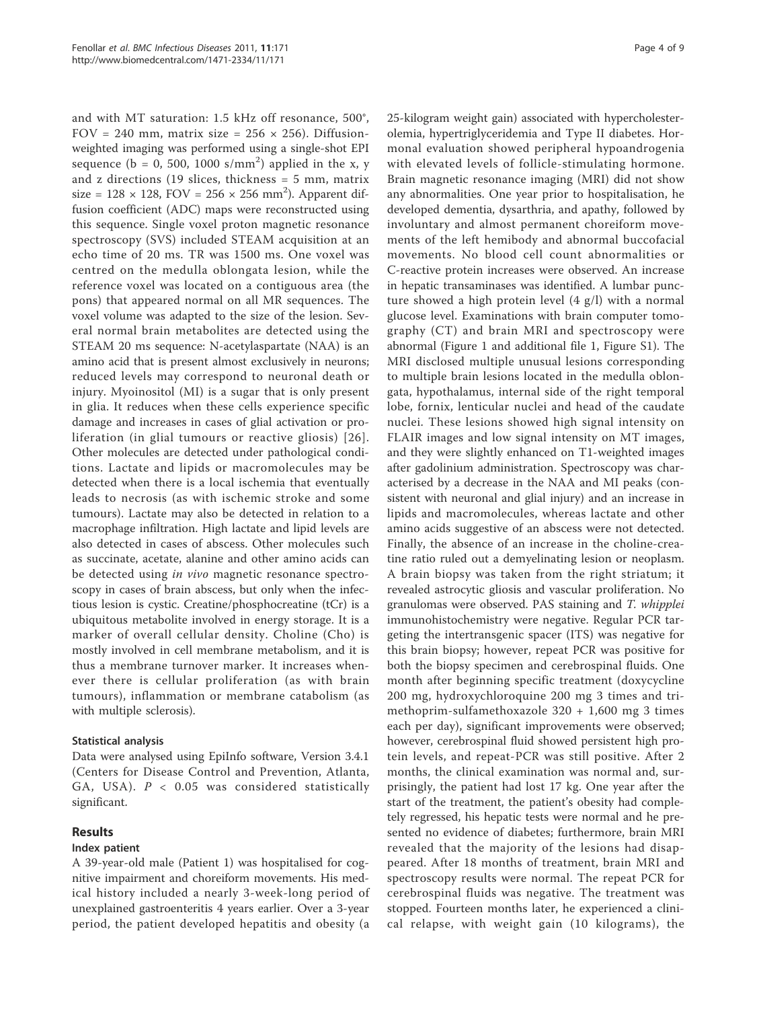and with MT saturation: 1.5 kHz off resonance, 500°, FOV = 240 mm, matrix size = 256  $\times$  256). Diffusionweighted imaging was performed using a single-shot EPI sequence ( $b = 0$ , 500, 1000 s/mm<sup>2</sup>) applied in the x, y and z directions (19 slices, thickness = 5 mm, matrix size =  $128 \times 128$ , FOV =  $256 \times 256$  mm<sup>2</sup>). Apparent diffusion coefficient (ADC) maps were reconstructed using this sequence. Single voxel proton magnetic resonance spectroscopy (SVS) included STEAM acquisition at an echo time of 20 ms. TR was 1500 ms. One voxel was centred on the medulla oblongata lesion, while the reference voxel was located on a contiguous area (the pons) that appeared normal on all MR sequences. The voxel volume was adapted to the size of the lesion. Several normal brain metabolites are detected using the STEAM 20 ms sequence: N-acetylaspartate (NAA) is an amino acid that is present almost exclusively in neurons; reduced levels may correspond to neuronal death or injury. Myoinositol (MI) is a sugar that is only present in glia. It reduces when these cells experience specific damage and increases in cases of glial activation or proliferation (in glial tumours or reactive gliosis) [26]. Other molecules are detected under pathological conditions. Lactate and lipids or macromolecules may be detected when there is a local ischemia that eventually leads to necrosis (as with ischemic stroke and some tumours). Lactate may also be detected in relation to a macrophage infiltration. High lactate and lipid levels are also detected in cases of abscess. Other molecules such as succinate, acetate, alanine and other amino acids can be detected using in vivo magnetic resonance spectroscopy in cases of brain abscess, but only when the infectious lesion is cystic. Creatine/phosphocreatine (tCr) is a ubiquitous metabolite involved in energy storage. It is a marker of overall cellular density. Choline (Cho) is mostly involved in cell membrane metabolism, and it is thus a membrane turnover marker. It increases whenever there is cellular proliferation (as with brain tumours), inflammation or membrane catabolism (as with multiple sclerosis).

## Statistical analysis

Data were analysed using EpiInfo software, Version 3.4.1 (Centers for Disease Control and Prevention, Atlanta, GA, USA).  $P < 0.05$  was considered statistically significant.

## Results

## Index patient

A 39-year-old male (Patient 1) was hospitalised for cognitive impairment and choreiform movements. His medical history included a nearly 3-week-long period of unexplained gastroenteritis 4 years earlier. Over a 3-year period, the patient developed hepatitis and obesity (a 25-kilogram weight gain) associated with hypercholesterolemia, hypertriglyceridemia and Type II diabetes. Hormonal evaluation showed peripheral hypoandrogenia with elevated levels of follicle-stimulating hormone. Brain magnetic resonance imaging (MRI) did not show any abnormalities. One year prior to hospitalisation, he developed dementia, dysarthria, and apathy, followed by involuntary and almost permanent choreiform movements of the left hemibody and abnormal buccofacial movements. No blood cell count abnormalities or C-reactive protein increases were observed. An increase in hepatic transaminases was identified. A lumbar puncture showed a high protein level (4 g/l) with a normal glucose level. Examinations with brain computer tomography (CT) and brain MRI and spectroscopy were abnormal (Figure 1 and additional file 1, Figure S1). The MRI disclosed multiple unusual lesions corresponding to multiple brain lesions located in the medulla oblongata, hypothalamus, internal side of the right temporal lobe, fornix, lenticular nuclei and head of the caudate nuclei. These lesions showed high signal intensity on FLAIR images and low signal intensity on MT images, and they were slightly enhanced on T1-weighted images after gadolinium administration. Spectroscopy was characterised by a decrease in the NAA and MI peaks (consistent with neuronal and glial injury) and an increase in lipids and macromolecules, whereas lactate and other amino acids suggestive of an abscess were not detected. Finally, the absence of an increase in the choline-creatine ratio ruled out a demyelinating lesion or neoplasm. A brain biopsy was taken from the right striatum; it revealed astrocytic gliosis and vascular proliferation. No granulomas were observed. PAS staining and T. whipplei immunohistochemistry were negative. Regular PCR targeting the intertransgenic spacer (ITS) was negative for this brain biopsy; however, repeat PCR was positive for both the biopsy specimen and cerebrospinal fluids. One month after beginning specific treatment (doxycycline 200 mg, hydroxychloroquine 200 mg 3 times and trimethoprim-sulfamethoxazole 320 + 1,600 mg 3 times each per day), significant improvements were observed; however, cerebrospinal fluid showed persistent high protein levels, and repeat-PCR was still positive. After 2 months, the clinical examination was normal and, surprisingly, the patient had lost 17 kg. One year after the start of the treatment, the patient's obesity had completely regressed, his hepatic tests were normal and he presented no evidence of diabetes; furthermore, brain MRI revealed that the majority of the lesions had disappeared. After 18 months of treatment, brain MRI and spectroscopy results were normal. The repeat PCR for cerebrospinal fluids was negative. The treatment was stopped. Fourteen months later, he experienced a clinical relapse, with weight gain (10 kilograms), the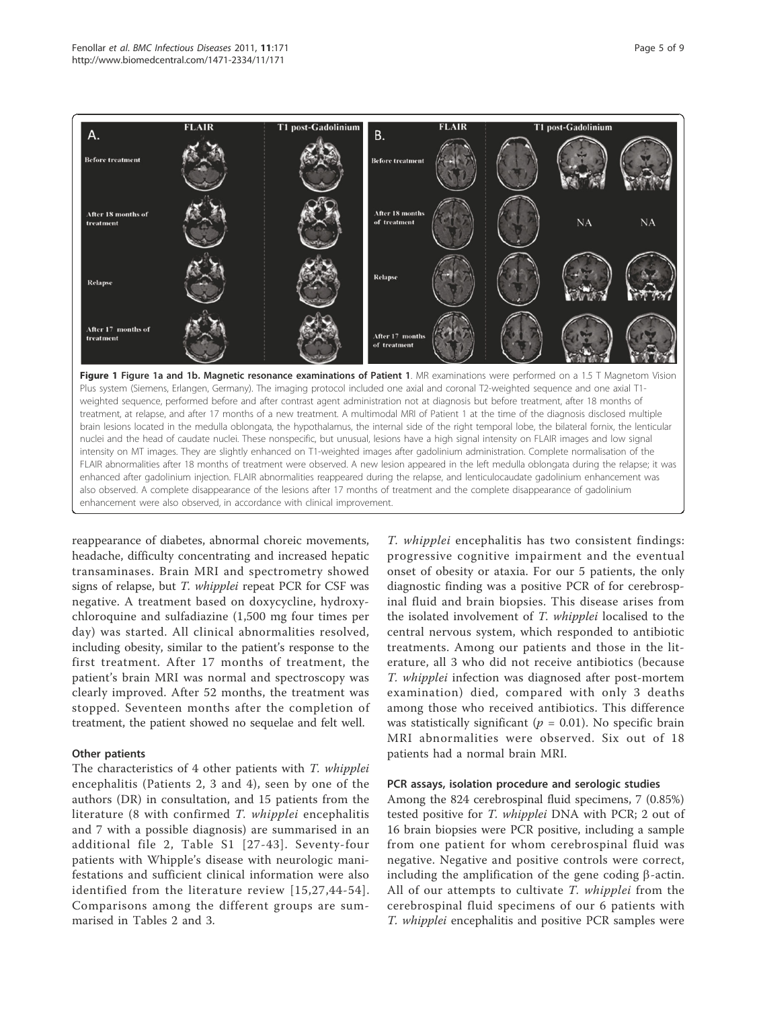

reappearance of diabetes, abnormal choreic movements, headache, difficulty concentrating and increased hepatic transaminases. Brain MRI and spectrometry showed signs of relapse, but T. whipplei repeat PCR for CSF was negative. A treatment based on doxycycline, hydroxychloroquine and sulfadiazine (1,500 mg four times per day) was started. All clinical abnormalities resolved, including obesity, similar to the patient's response to the first treatment. After 17 months of treatment, the patient's brain MRI was normal and spectroscopy was clearly improved. After 52 months, the treatment was stopped. Seventeen months after the completion of treatment, the patient showed no sequelae and felt well.

#### Other patients

The characteristics of 4 other patients with T. whipplei encephalitis (Patients 2, 3 and 4), seen by one of the authors (DR) in consultation, and 15 patients from the literature (8 with confirmed T. whipplei encephalitis and 7 with a possible diagnosis) are summarised in an additional file 2, Table S1 [27-43]. Seventy-four patients with Whipple's disease with neurologic manifestations and sufficient clinical information were also identified from the literature review [15,27,44-54]. Comparisons among the different groups are summarised in Tables 2 and 3.

T. whipplei encephalitis has two consistent findings: progressive cognitive impairment and the eventual onset of obesity or ataxia. For our 5 patients, the only diagnostic finding was a positive PCR of for cerebrospinal fluid and brain biopsies. This disease arises from the isolated involvement of T. whipplei localised to the central nervous system, which responded to antibiotic treatments. Among our patients and those in the literature, all 3 who did not receive antibiotics (because T. whipplei infection was diagnosed after post-mortem examination) died, compared with only 3 deaths among those who received antibiotics. This difference was statistically significant ( $p = 0.01$ ). No specific brain MRI abnormalities were observed. Six out of 18 patients had a normal brain MRI.

#### PCR assays, isolation procedure and serologic studies

Among the 824 cerebrospinal fluid specimens, 7 (0.85%) tested positive for T. whipplei DNA with PCR; 2 out of 16 brain biopsies were PCR positive, including a sample from one patient for whom cerebrospinal fluid was negative. Negative and positive controls were correct, including the amplification of the gene coding  $\beta$ -actin. All of our attempts to cultivate T. whipplei from the cerebrospinal fluid specimens of our 6 patients with T. whipplei encephalitis and positive PCR samples were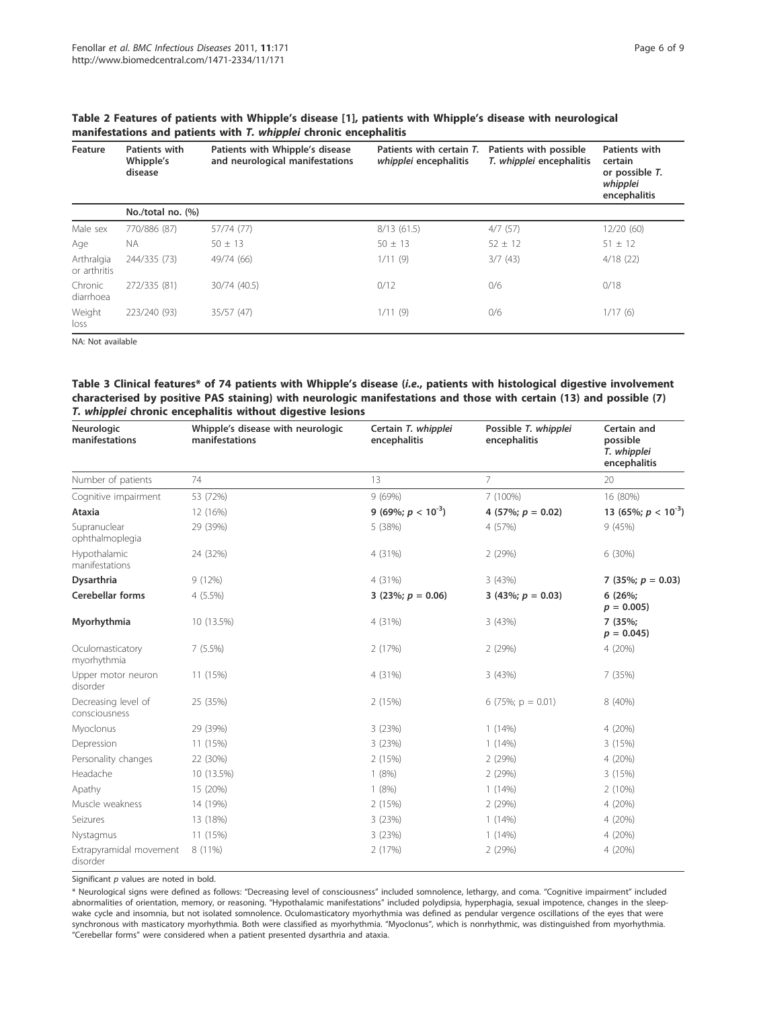| Feature                    | <b>Patients with</b><br>Whipple's<br>disease | Patients with Whipple's disease<br>and neurological manifestations | Patients with certain T.<br>whipplei encephalitis | Patients with possible<br>T. whipplei encephalitis | Patients with<br>certain<br>or possible T.<br>whipplei<br>encephalitis |
|----------------------------|----------------------------------------------|--------------------------------------------------------------------|---------------------------------------------------|----------------------------------------------------|------------------------------------------------------------------------|
|                            | No./total no. (%)                            |                                                                    |                                                   |                                                    |                                                                        |
| Male sex                   | 770/886 (87)                                 | 57/74 (77)                                                         | 8/13(61.5)                                        | 4/7(57)                                            | 12/20(60)                                                              |
| Age                        | <b>NA</b>                                    | $50 + 13$                                                          | $50 + 13$                                         | $52 + 12$                                          | $51 + 12$                                                              |
| Arthralgia<br>or arthritis | 244/335 (73)                                 | 49/74 (66)                                                         | 1/11(9)                                           | 3/7(43)                                            | 4/18(22)                                                               |
| Chronic<br>diarrhoea       | 272/335 (81)                                 | 30/74 (40.5)                                                       | 0/12                                              | 0/6                                                | 0/18                                                                   |
| Weight<br>loss             | 223/240 (93)                                 | 35/57(47)                                                          | 1/11(9)                                           | 0/6                                                | 1/17(6)                                                                |

#### Table 2 Features of patients with Whipple's disease [1], patients with Whipple's disease with neurological manifestations and patients with T. whipplei chronic encephalitis

NA: Not available

#### Table 3 Clinical features\* of 74 patients with Whipple's disease (i.e., patients with histological digestive involvement characterised by positive PAS staining) with neurologic manifestations and those with certain (13) and possible (7) T. whipplei chronic encephalitis without digestive lesions

| Neurologic<br>manifestations         | Whipple's disease with neurologic<br>manifestations | Certain T. whipplei<br>encephalitis | Possible T. whipplei<br>encephalitis | Certain and<br>possible<br>T. whipplei<br>encephalitis |
|--------------------------------------|-----------------------------------------------------|-------------------------------------|--------------------------------------|--------------------------------------------------------|
| Number of patients                   | 74                                                  | 13                                  | $\overline{7}$                       | 20                                                     |
| Cognitive impairment                 | 53 (72%)                                            | 9(69%)                              | 7 (100%)                             | 16 (80%)                                               |
| Ataxia                               | 12 (16%)                                            | 9 (69%; $p < 10^{-3}$ )             | 4 (57%; $p = 0.02$ )                 | 13 (65%; $p < 10^{-3}$ )                               |
| Supranuclear<br>ophthalmoplegia      | 29 (39%)                                            | 5 (38%)                             | 4 (57%)                              | 9(45%)                                                 |
| Hypothalamic<br>manifestations       | 24 (32%)                                            | 4 (31%)                             | 2 (29%)                              | 6(30%)                                                 |
| <b>Dysarthria</b>                    | 9(12%)                                              | 4 (31%)                             | 3 (43%)                              | 7 (35%; $p = 0.03$ )                                   |
| <b>Cerebellar forms</b>              | $4(5.5\%)$                                          | 3 (23%; $p = 0.06$ )                | 3 (43%; $p = 0.03$ )                 | $6(26\%;$<br>$p = 0.005$                               |
| Myorhythmia                          | 10 (13.5%)                                          | 4 (31%)                             | 3 (43%)                              | 7 (35%;<br>$p = 0.045$                                 |
| Oculomasticatory<br>myorhythmia      | 7(5.5%)                                             | 2 (17%)                             | 2 (29%)                              | 4(20%)                                                 |
| Upper motor neuron<br>disorder       | 11 (15%)                                            | 4 (31%)                             | 3(43%)                               | 7(35%)                                                 |
| Decreasing level of<br>consciousness | 25 (35%)                                            | 2(15%)                              | 6 $(75\%; p = 0.01)$                 | 8 (40%)                                                |
| Myoclonus                            | 29 (39%)                                            | 3(23%)                              | 1(14%)                               | 4 (20%)                                                |
| Depression                           | 11 (15%)                                            | 3(23%)                              | 1(14%)                               | 3(15%)                                                 |
| Personality changes                  | 22 (30%)                                            | 2 (15%)                             | 2(29%)                               | 4 (20%)                                                |
| Headache                             | 10 (13.5%)                                          | 1(8%)                               | 2(29%)                               | 3(15%)                                                 |
| Apathy                               | 15 (20%)                                            | 1(8%)                               | 1(14%)                               | 2(10%)                                                 |
| Muscle weakness                      | 14 (19%)                                            | 2(15%)                              | 2(29%)                               | 4 (20%)                                                |
| Seizures                             | 13 (18%)                                            | 3(23%)                              | 1(14%)                               | 4 (20%)                                                |
| Nystagmus                            | 11 (15%)                                            | 3(23%)                              | 1(14%)                               | 4(20%)                                                 |
| Extrapyramidal movement<br>disorder  | 8 (11%)                                             | 2(17%)                              | 2(29%)                               | 4 (20%)                                                |

Significant  $p$  values are noted in bold.

\* Neurological signs were defined as follows: "Decreasing level of consciousness" included somnolence, lethargy, and coma. "Cognitive impairment" included abnormalities of orientation, memory, or reasoning. "Hypothalamic manifestations" included polydipsia, hyperphagia, sexual impotence, changes in the sleepwake cycle and insomnia, but not isolated somnolence. Oculomasticatory myorhythmia was defined as pendular vergence oscillations of the eyes that were synchronous with masticatory myorhythmia. Both were classified as myorhythmia. "Myoclonus", which is nonrhythmic, was distinguished from myorhythmia. "Cerebellar forms" were considered when a patient presented dysarthria and ataxia.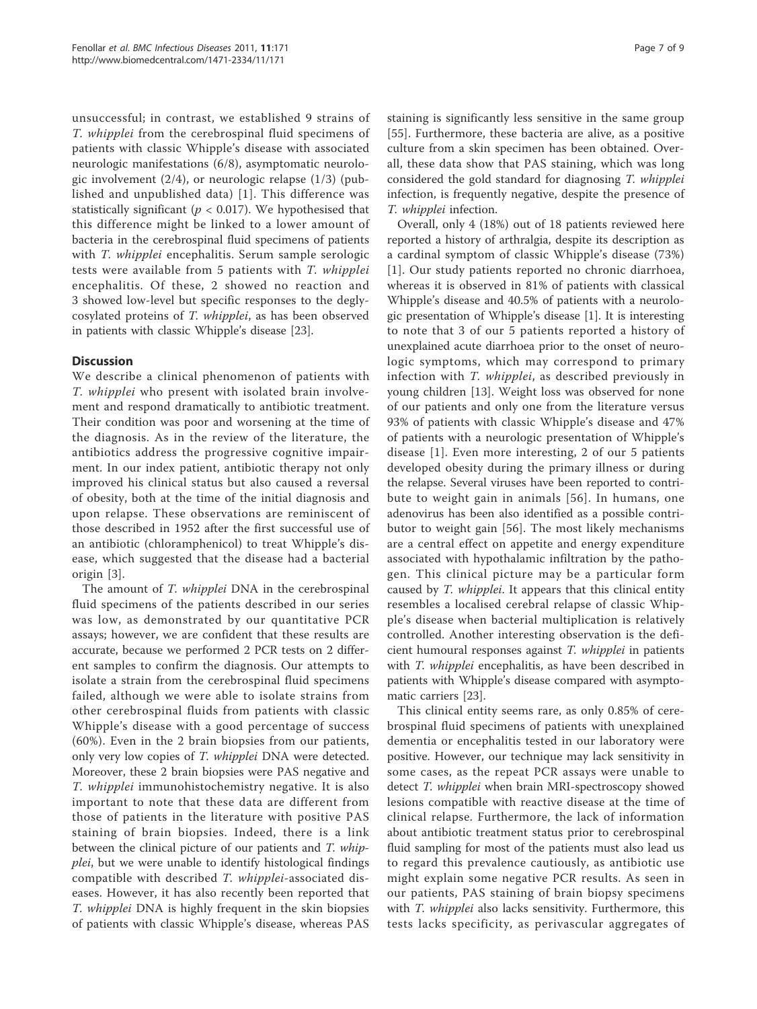unsuccessful; in contrast, we established 9 strains of T. whipplei from the cerebrospinal fluid specimens of patients with classic Whipple's disease with associated neurologic manifestations (6/8), asymptomatic neurologic involvement (2/4), or neurologic relapse (1/3) (published and unpublished data) [1]. This difference was statistically significant ( $p < 0.017$ ). We hypothesised that this difference might be linked to a lower amount of bacteria in the cerebrospinal fluid specimens of patients with *T. whipplei* encephalitis. Serum sample serologic tests were available from 5 patients with T. whipplei encephalitis. Of these, 2 showed no reaction and 3 showed low-level but specific responses to the deglycosylated proteins of T. whipplei, as has been observed in patients with classic Whipple's disease [23].

## **Discussion**

We describe a clinical phenomenon of patients with T. whipplei who present with isolated brain involvement and respond dramatically to antibiotic treatment. Their condition was poor and worsening at the time of the diagnosis. As in the review of the literature, the antibiotics address the progressive cognitive impairment. In our index patient, antibiotic therapy not only improved his clinical status but also caused a reversal of obesity, both at the time of the initial diagnosis and upon relapse. These observations are reminiscent of those described in 1952 after the first successful use of an antibiotic (chloramphenicol) to treat Whipple's disease, which suggested that the disease had a bacterial origin [3].

The amount of T. whipplei DNA in the cerebrospinal fluid specimens of the patients described in our series was low, as demonstrated by our quantitative PCR assays; however, we are confident that these results are accurate, because we performed 2 PCR tests on 2 different samples to confirm the diagnosis. Our attempts to isolate a strain from the cerebrospinal fluid specimens failed, although we were able to isolate strains from other cerebrospinal fluids from patients with classic Whipple's disease with a good percentage of success (60%). Even in the 2 brain biopsies from our patients, only very low copies of T. whipplei DNA were detected. Moreover, these 2 brain biopsies were PAS negative and T. whipplei immunohistochemistry negative. It is also important to note that these data are different from those of patients in the literature with positive PAS staining of brain biopsies. Indeed, there is a link between the clinical picture of our patients and T. whipplei, but we were unable to identify histological findings compatible with described T. whipplei-associated diseases. However, it has also recently been reported that T. whipplei DNA is highly frequent in the skin biopsies of patients with classic Whipple's disease, whereas PAS staining is significantly less sensitive in the same group [55]. Furthermore, these bacteria are alive, as a positive culture from a skin specimen has been obtained. Overall, these data show that PAS staining, which was long considered the gold standard for diagnosing T. whipplei infection, is frequently negative, despite the presence of T. whipplei infection.

Overall, only 4 (18%) out of 18 patients reviewed here reported a history of arthralgia, despite its description as a cardinal symptom of classic Whipple's disease (73%) [1]. Our study patients reported no chronic diarrhoea, whereas it is observed in 81% of patients with classical Whipple's disease and 40.5% of patients with a neurologic presentation of Whipple's disease [1]. It is interesting to note that 3 of our 5 patients reported a history of unexplained acute diarrhoea prior to the onset of neurologic symptoms, which may correspond to primary infection with T. whipplei, as described previously in young children [13]. Weight loss was observed for none of our patients and only one from the literature versus 93% of patients with classic Whipple's disease and 47% of patients with a neurologic presentation of Whipple's disease [1]. Even more interesting, 2 of our 5 patients developed obesity during the primary illness or during the relapse. Several viruses have been reported to contribute to weight gain in animals [56]. In humans, one adenovirus has been also identified as a possible contributor to weight gain [56]. The most likely mechanisms are a central effect on appetite and energy expenditure associated with hypothalamic infiltration by the pathogen. This clinical picture may be a particular form caused by T. whipplei. It appears that this clinical entity resembles a localised cerebral relapse of classic Whipple's disease when bacterial multiplication is relatively controlled. Another interesting observation is the deficient humoural responses against T. whipplei in patients with T. whipplei encephalitis, as have been described in patients with Whipple's disease compared with asymptomatic carriers [23].

This clinical entity seems rare, as only 0.85% of cerebrospinal fluid specimens of patients with unexplained dementia or encephalitis tested in our laboratory were positive. However, our technique may lack sensitivity in some cases, as the repeat PCR assays were unable to detect T. whipplei when brain MRI-spectroscopy showed lesions compatible with reactive disease at the time of clinical relapse. Furthermore, the lack of information about antibiotic treatment status prior to cerebrospinal fluid sampling for most of the patients must also lead us to regard this prevalence cautiously, as antibiotic use might explain some negative PCR results. As seen in our patients, PAS staining of brain biopsy specimens with T. whipplei also lacks sensitivity. Furthermore, this tests lacks specificity, as perivascular aggregates of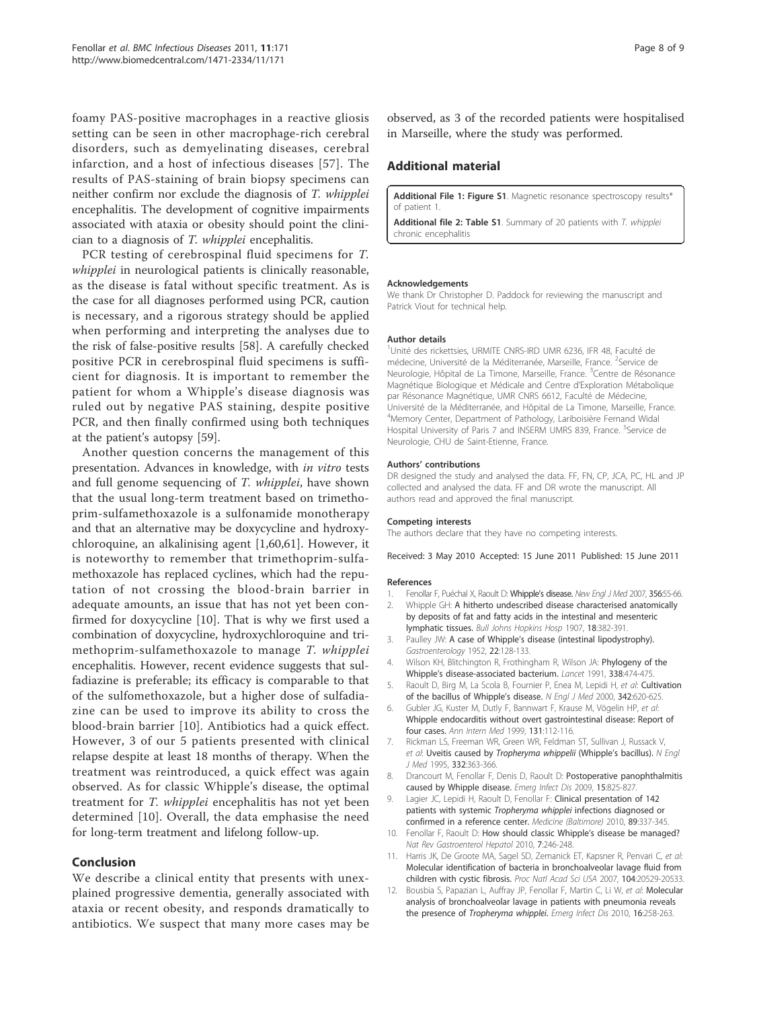foamy PAS-positive macrophages in a reactive gliosis setting can be seen in other macrophage-rich cerebral disorders, such as demyelinating diseases, cerebral infarction, and a host of infectious diseases [57]. The results of PAS-staining of brain biopsy specimens can neither confirm nor exclude the diagnosis of T. whipplei encephalitis. The development of cognitive impairments associated with ataxia or obesity should point the clinician to a diagnosis of T. whipplei encephalitis.

PCR testing of cerebrospinal fluid specimens for T. whipplei in neurological patients is clinically reasonable, as the disease is fatal without specific treatment. As is the case for all diagnoses performed using PCR, caution is necessary, and a rigorous strategy should be applied when performing and interpreting the analyses due to the risk of false-positive results [58]. A carefully checked positive PCR in cerebrospinal fluid specimens is sufficient for diagnosis. It is important to remember the patient for whom a Whipple's disease diagnosis was ruled out by negative PAS staining, despite positive PCR, and then finally confirmed using both techniques at the patient's autopsy [59].

Another question concerns the management of this presentation. Advances in knowledge, with in vitro tests and full genome sequencing of T. whipplei, have shown that the usual long-term treatment based on trimethoprim-sulfamethoxazole is a sulfonamide monotherapy and that an alternative may be doxycycline and hydroxychloroquine, an alkalinising agent [1,60,61]. However, it is noteworthy to remember that trimethoprim-sulfamethoxazole has replaced cyclines, which had the reputation of not crossing the blood-brain barrier in adequate amounts, an issue that has not yet been confirmed for doxycycline [10]. That is why we first used a combination of doxycycline, hydroxychloroquine and trimethoprim-sulfamethoxazole to manage T. whipplei encephalitis. However, recent evidence suggests that sulfadiazine is preferable; its efficacy is comparable to that of the sulfomethoxazole, but a higher dose of sulfadiazine can be used to improve its ability to cross the blood-brain barrier [10]. Antibiotics had a quick effect. However, 3 of our 5 patients presented with clinical relapse despite at least 18 months of therapy. When the treatment was reintroduced, a quick effect was again observed. As for classic Whipple's disease, the optimal treatment for T. whipplei encephalitis has not yet been determined [10]. Overall, the data emphasise the need for long-term treatment and lifelong follow-up.

## Conclusion

We describe a clinical entity that presents with unexplained progressive dementia, generally associated with ataxia or recent obesity, and responds dramatically to antibiotics. We suspect that many more cases may be observed, as 3 of the recorded patients were hospitalised in Marseille, where the study was performed.

## Additional material

Additional File 1: Figure S1. Magnetic resonance spectroscopy results\* of patient 1.

Additional file 2: Table S1. Summary of 20 patients with T. whipplei chronic encephalitis

#### Acknowledgements

We thank Dr Christopher D. Paddock for reviewing the manuscript and Patrick Viout for technical help.

#### Author details

<sup>1</sup>Unité des rickettsies, URMITE CNRS-IRD UMR 6236, IFR 48, Faculté de médecine, Université de la Méditerranée, Marseille, France. <sup>2</sup>Service de Neurologie, Hôpital de La Timone, Marseille, France. <sup>3</sup>Centre de Résonance Magnétique Biologique et Médicale and Centre d'Exploration Métabolique par Résonance Magnétique, UMR CNRS 6612, Faculté de Médecine, Université de la Méditerranée, and Hôpital de La Timone, Marseille, France. 4 Memory Center, Department of Pathology, Lariboisière Fernand Widal Hospital University of Paris 7 and INSERM UMRS 839, France. <sup>5</sup>Service de Neurologie, CHU de Saint-Etienne, France.

#### Authors' contributions

DR designed the study and analysed the data. FF, FN, CP, JCA, PC, HL and JP collected and analysed the data. FF and DR wrote the manuscript. All authors read and approved the final manuscript.

#### Competing interests

The authors declare that they have no competing interests.

Received: 3 May 2010 Accepted: 15 June 2011 Published: 15 June 2011

#### References

- 1. Fenollar F, Puéchal X, Raoult D: Whipple's disease. New Engl J Med 2007, 356:55-66.<br>2. Whipple GH: A hitherto undescribed disease characterised anatomically
- Whipple GH: A hitherto undescribed disease characterised anatomically by deposits of fat and fatty acids in the intestinal and mesenteric lymphatic tissues. Bull Johns Hopkins Hosp 1907, 18:382-391.
- 3. Paulley JW: A case of Whipple's disease (intestinal lipodystrophy). Gastroenterology 1952, 22:128-133.
- 4. Wilson KH, Blitchington R, Frothingham R, Wilson JA: Phylogeny of the Whipple's disease-associated bacterium. Lancet 1991, 338:474-475.
- 5. Raoult D, Birg M, La Scola B, Fournier P, Enea M, Lepidi H, et al: Cultivation of the bacillus of Whipple's disease. N Engl J Med 2000, 342:620-625.
- 6. Gubler JG, Kuster M, Dutly F, Bannwart F, Krause M, Vögelin HP, et al: Whipple endocarditis without overt gastrointestinal disease: Report of four cases. Ann Intern Med 1999, 131:112-116.
- 7. Rickman LS, Freeman WR, Green WR, Feldman ST, Sullivan J, Russack V, et al: Uveitis caused by Tropheryma whippelii (Whipple's bacillus). N Engl J Med 1995, 332:363-366.
- 8. Drancourt M, Fenollar F, Denis D, Raoult D: Postoperative panophthalmitis caused by Whipple disease. Emerg Infect Dis 2009, 15:825-827.
- Lagier JC, Lepidi H, Raoult D, Fenollar F: Clinical presentation of 142 patients with systemic Tropheryma whipplei infections diagnosed or confirmed in a reference center. Medicine (Baltimore) 2010, 89:337-345.
- 10. Fenollar F, Raoult D: How should classic Whipple's disease be managed? Nat Rev Gastroenterol Hepatol 2010, 7:246-248.
- 11. Harris JK, De Groote MA, Sagel SD, Zemanick ET, Kapsner R, Penvari C, et al: Molecular identification of bacteria in bronchoalveolar lavage fluid from children with cystic fibrosis. Proc Natl Acad Sci USA 2007, 104:20529-20533.
- 12. Bousbia S, Papazian L, Auffray JP, Fenollar F, Martin C, Li W, et al: Molecular analysis of bronchoalveolar lavage in patients with pneumonia reveals the presence of Tropheryma whipplei. Emerg Infect Dis 2010, 16:258-263.